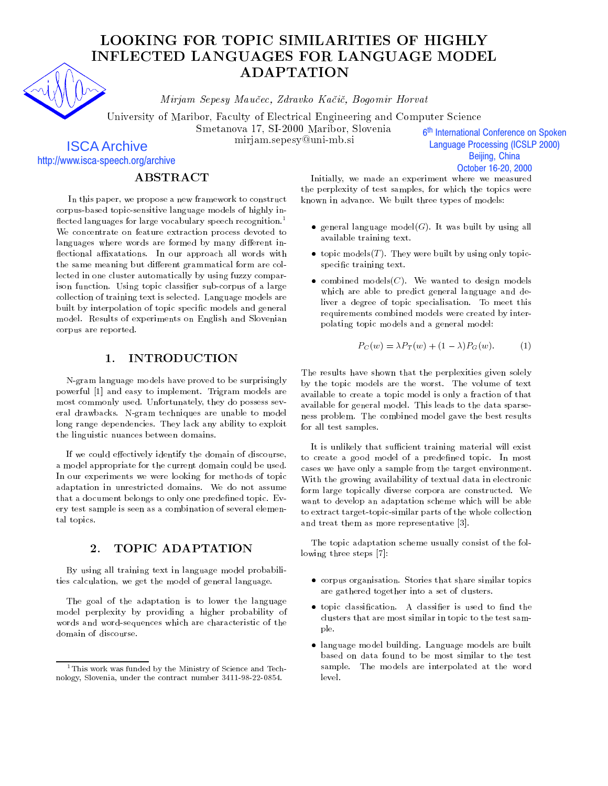# LOOKING FOR TOPIC SIMILARITIES OF HIGHLY **ADAPTATION**

Mirjam Sepesy Maucec, Zdravko Kacic, Bogomir Horvat

University of Maribor, Faculty of Electrical Engineering and Computer Science

Smetanova 17, SI-2000 Maribor, Slovenia

mirjam.sepesy@uni-mb.si

# ISCA Archive http://www.isca-speech.org/archive

In this paper, we propose a new framework to construct corpus-based topic-sensitive language models of highly in flected languages for large vocabulary speech recognition. $^{\mathrm{1}}$ We concentrate on feature extraction process devoted to languages where words are formed by many different inflectional affixatations. In our approach all words with the same meaning but different grammatical form are collected in one cluster automatically by using fuzzy comparison function. Using topic classier sub-corpus of a large collection of training text is selected. Language models are built by interpolation of topic specic models and general model. Results of experiments on English and Slovenian corpus are reported.

N-gram language models have proved to be surprisingly powerful [1] and easy to implement. Trigram models are most commonly used. Unfortunately, they do possess several drawbacks. N-gram techniques are unable to model long range dependencies. They lack any ability to exploit the linguistic nuances between domains.

If we could effectively identify the domain of discourse, a model appropriate for the current domain could be used. In our experiments we were looking for methods of topic adaptation in unrestricted domains. We do not assume that a document belongs to only one predefined topic. Every test sample is seen as a combination of several elemental topics.

### **TOPIC ADAPTATION**  $\overline{2}$ .

By using all training text in language model probabilities calculation, we get the model of general language.

The goal of the adaptation is to lower the language model perplexity by providing a higher probability of words and word-sequences which are characteristic of the domain of discourse.

6<sup>th</sup> International Conference on Spoken j **Language Processing (ICSLP 2000)** Beijing, China October 16-20, 2000

Initially, we made an experiment where we measured the perplexity of test samples, for which the topics were known in advance. We built three types of models:

- general language model(G). It was built by using all available training text.
- topic models $(T)$ . They were built by using only topicspecific training text.
- combined models $(C)$ . We wanted to design models which are able to predict general language and deliver a degree of topic specialisation. To meet this requirements combined models were created by interpolating topic models and a general model:

$$
P_C(w) = \lambda P_T(w) + (1 - \lambda) P_G(w).
$$
 (1)

The results have shown that the perplexities given solely by the topic models are the worst. The volume of text available to create a topic model is only a fraction of that available for general model. This leads to the data sparseness problem. The combined model gave the best results for all test samples.

It is unlikely that sufficient training material will exist to create a good model of a predefined topic. In most cases we have only a sample from the target environment. With the growing availability of textual data in electronic form large topically diverse corpora are constructed. We want to develop an adaptation scheme which will be able to extract target-topic-similar parts of the whole collection and treat them as more representative [3].

 $\overline{z}$  and  $\overline{z}$  are  $\overline{z}$  and  $\overline{z}$  are  $\overline{z}$  are  $\overline{z}$  are  $\overline{z}$  are  $\overline{z}$  are  $\overline{z}$  are  $\overline{z}$  are  $\overline{z}$  are  $\overline{z}$  are  $\overline{z}$  are  $\overline{z}$  are  $\overline{z}$  are  $\overline{z}$  are  $\overline{z}$  are The topic adaptation scheme usually consist of the fol-

- corpus organisation. Stories that share similar topics are gathered together into a set of clusters.
- $\bullet$  topic classification. A classifier is used to find the clusters that are most similar in topic to the test sample. The contract of the contract of the contract of the contract of the contract of
- language model building. Language models are built based on data found to be most similar to the test sample. The models are interpolated at the word level.

<sup>&</sup>lt;sup>1</sup>This work was funded by the Ministry of Science and Technology, Slovenia, under the contract number 3411-98-22-0854.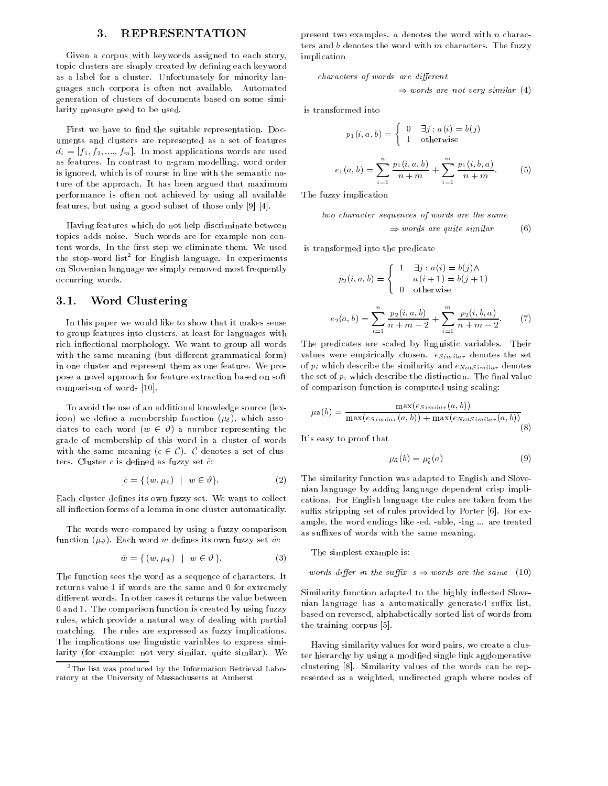#### 3. **REPRESENTATION**

Given a corpus with keywords assigned to each story, topic clusters are simply created by defining each keyword as a label for a cluster. Unfortunately for minority languages such corpora is often not available. Automated generation of clusters of documents based on some similarity measure need to be used.

First we have to find the suitable representation. Documents and clusters are represented as a set of features  $d_i = [f_1, f_2, \ldots, f_m]$ . In most applications words are used as features. In contrast to n-gram modelling, word order is ignored, which is of course in line with the semantic nature of the approach. It has been argued that maximum performance is often not achieved by using all available features, but using a good subset of those only [9] [4].

Having features which do not help discriminate between topics adds noise. Such words are for example non content words. In the first step we eliminate them. We used the stop-word list<sup>-</sup> for English language. In experiments on Slovenian language we simply removed most frequently occurring words.

## 3.1. Word Clustering

In this paper we would like to show that it makes sense to group features into clusters, at least for languages with rich in
ectional morphology. We want to group all words with the same meaning (but different grammatical form) in one cluster and represent them as one feature. We propose a novel approach for feature extraction based on soft comparison of words [10].

To avoid the use of an additional knowledge source (lexicon) we define a membership function  $(\mu_{\tilde{c}})$ , which associates to each word (w 2 + ) a number representing the contract of  $\mathcal{L}$ grade of membership of this word in a cluster of words with the same meaning  $(c \in \mathcal{C})$ . C denotes a set of clusters. Cluster  $c$  is defined as fuzzy set  $\tilde{c}$ :

$$
\tilde{c} = \{ (w, \mu_{\tilde{c}}) \mid w \in \vartheta \}. \tag{2}
$$

Each cluster defines its own fuzzy set. We want to collect all inflection forms of a lemma in one cluster automatically.

The words were compared by using a fuzzy comparison function  $(\mu_{\vartheta})$ . Each word w defines its own fuzzy set  $\tilde{w}$ :

$$
\tilde{w} = \{ (w, \mu_{\tilde{w}}) \mid w \in \vartheta \}. \tag{3}
$$

The function sees the word as a sequence of characters. It returns van die 1 in 1950 van die same and 1 for extremely the same and 0 for extremely different words. In other cases it returns the value between 0 and 1. The comparison function is created by using fuzzy rules, which provide a natural way of dealing with partial matching. The rules are expressed as fuzzy implications. The implications use linguistic variables to express similarity (for example: not very similar, quite similar). We

present two examples. <sup>a</sup> denotes the word with <sup>n</sup> characters and  $b$  denotes the word with m characters. The fuzzy implication

 $charcters of words are different$ 

 $\Rightarrow$  words are not very similar (4)

is transformed into

$$
p_1(i, a, b) = \begin{cases} 0 & \exists j : a(i) = b(j) \\ 1 & \text{otherwise} \end{cases}
$$

$$
e_1(a, b) = \sum_{i=1}^n \frac{p_1(i, a, b)}{n + m} + \sum_{i=1}^m \frac{p_1(i, b, a)}{n + m}.
$$
(5)

The fuzzy implication

two character sequences of words are the same

 $\Rightarrow$  words are quite similar (6)

is transformed into the predicate

$$
p_2(i, a, b) = \begin{cases} 1 & \exists j : a(i) = b(j) \land \\ a(i+1) = b(j+1) \\ 0 & \text{otherwise} \end{cases}
$$

$$
e_2(a, b) = \sum_{i=1}^n \frac{p_2(i, a, b)}{n + m - 2} + \sum_{i=1}^m \frac{p_2(i, b, a)}{n + m - 2}.
$$
 (7)

The predicates are scaled by linguistic variables. Their values were empirically chosen.  $e_{Similar}$  denotes the set of  $p_i$  which describe the similarity and  $e_{NotSimilar}$  denotes the set of  $p_i$  which describe the distinction. The final value of comparison function is computed using scaling:

$$
\mu_{\tilde{a}}(b) = \frac{\max(e_{Similar}(a, b))}{\max(e_{Similar}(a, b)) + \max(e_{NotSimilar}(a, b))}
$$
(8)

It's easy to proof that

$$
\mu_{\tilde{a}}(b) = \mu_{\tilde{b}}(a) \tag{9}
$$

The similarity function was adapted to English and Slove nian language by adding language dependent crisp implications. For English language the rules are taken from the suffix stripping set of rules provided by Porter [6]. For example, the word endings like -ed, -able, -ing ... are treated as suffixes of words with the same meaning.

The simplest example is:

words differ in the suffix 
$$
\rightarrow
$$
 words are the same (10)

Similarity function adapted to the highly inflected Slovenian language has a automatically generated suffix list, based on reversed, alphabetically sorted list of words from the training corpus [5].

Having similarity values for word pairs, we create a cluster hierarchy by using a modied single link agglomerative clustering [8]. Similarity values of the words can be rep resented as a weighted, undirected graph where nodes of

 $2$ The list was produced by the Information Retrieval Laboratory at the University of Massachusetts at Amherst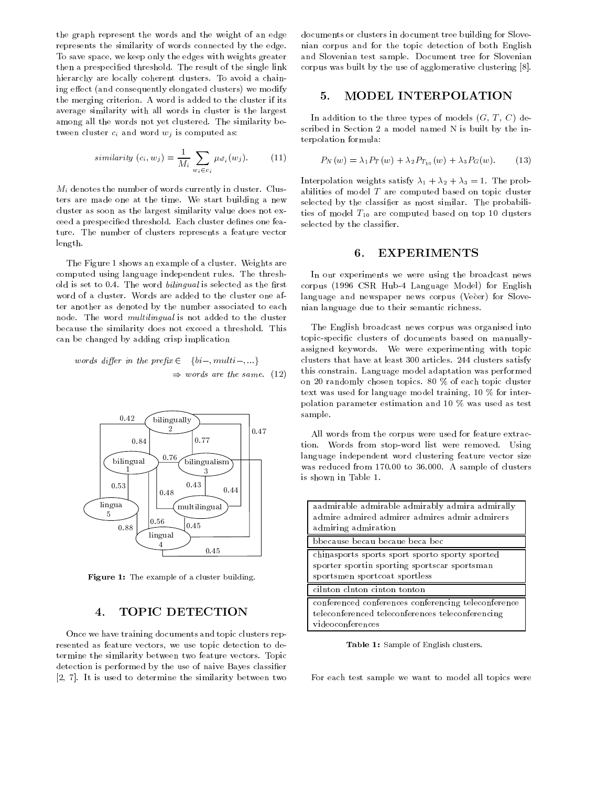the graph represent the words and the weight of an edge represents the similarity of words connected by the edge. To save space, we keep only the edges with weights greater then a prespecied threshold. The result of the single link hierarchy are locally coherent clusters. To avoid a chaining effect (and consequently elongated clusters) we modify<br>the manging exitence  $\Lambda$  wead is added to the cluster if its<br> $\overline{\mathbf{5}}$ . the merging criterion. A word is added to the cluster if its average similarity with all words in cluster is the largest among all the words not yet clustered. The similarity between cluster  $c_i$  and word  $w_j$  is computed as:

$$
similarity (c_i, w_j) = \frac{1}{M_i} \sum_{w_i \in c_i} \mu_{\tilde{w}_i}(w_j). \tag{11}
$$

 $M_i$  denotes the number of words currently in cluster. Clusters are made one at the time. We start building a new cluster as soon as the largest similarity value does not exceed a prespecified threshold. Each cluster defines one feature. The number of clusters represents a feature vector length.

The Figure 1 shows an example of a cluster. Weights are computed using language independent rules. The threshold is set to 0.4. The word  $bilingual$  is selected as the first word of a cluster. Words are added to the cluster one after another as denoted by the number associated to each node. The word multilingual is not added to the cluster because the similarity does not exceed a threshold. This can be changed by adding crisp implication

\n
$$
\text{words differ in the prefix} \in \{bi-, multi-, ...\}
$$
\n $\Rightarrow$ \n $\text{words are the same. (12)}$ \n $\xrightarrow{\text{this}}$ \n



Figure 1: The example of a cluster building.

# 4. TOPIC DETECTION

Once we have training documents and topic clusters rep resented as feature vectors, we use topic detection to determine the similarity between two feature vectors. Topic detection is performed by the use of naive Bayes classier [2, 7]. It is used to determine the similarity between two documents or clusters in document tree building for Slove nian corpus and for the topic detection of both English and Slovenian test sample. Document tree for Slovenian corpus was built by the use of agglomerative clustering [8].

# MODEL INTERPOLATION

In addition to the three types of models  $(G, T, C)$  described in Section 2 a model named N is built by the interpolation formula:

$$
P_N(w) = \lambda_1 P_T(w) + \lambda_2 P_{T_{10}}(w) + \lambda_3 P_G(w).
$$
 (13)

Interpolation weights satisfy  $\lambda_1 + \lambda_2 + \lambda_3 = 1$ . The probabilities of model <sup>T</sup> are computed based on topic cluster selected by the classifier as most similar. The probabilities of model  $T_{10}$  are computed based on top 10 clusters selected by the classifier.

#### **EXPERIMENTS** 6.

In our experiments we were using the broadcast news corpus (1996 CSR Hub-4 Language Model) for English language and newspaper news corpus (Večer) for Slovenian language due to their semantic richness.

The English broadcast news corpus was organised into topic-specic clusters of documents based on manuallyassigned keywords. We were experimenting with topic clusters that have at least 300 articles. 244 clusters satisfy this constrain. Language model adaptation was performed on 20 randomly chosen topics. 80 % of each topic cluster text was used for language model training, 10 % for interpolation parameter estimation and 10 % was used as test sample.

All words from the corpus were used for feature extraction. Words from stop-word list were removed. Using language independent word clustering feature vector size was reduced from 170.00 to 36.000. A sample of clusters is shown in Table 1.

| aadmirable admirable admirably admira admirally<br>admire admired admirer admires admir admirers<br>admiring admiration         |  |
|---------------------------------------------------------------------------------------------------------------------------------|--|
| bbecause becau becaue beca bec                                                                                                  |  |
| chinasports sports sport sporto sporty sported<br>sporter sportin sporting sportscar sportsman<br>sportsmen sportcoat sportless |  |
| cilnton clnton cinton tonton                                                                                                    |  |
| conferenced conferences conferencing teleconference<br>teleconferenced teleconferences teleconferencing<br>videoconferences     |  |

Table 1: Sample of English clusters.

For each test sample we want to model all topics were